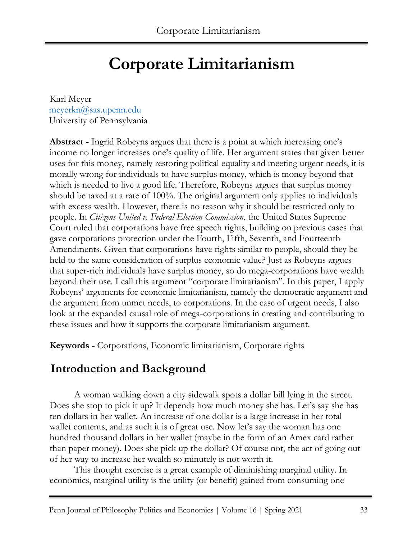# **Corporate Limitarianism**

Karl Meyer meyerkn@sas.upenn.edu University of Pennsylvania

**Abstract -** Ingrid Robeyns argues that there is a point at which increasing one's income no longer increases one's quality of life. Her argument states that given better uses for this money, namely restoring political equality and meeting urgent needs, it is morally wrong for individuals to have surplus money, which is money beyond that which is needed to live a good life. Therefore, Robeyns argues that surplus money should be taxed at a rate of 100%. The original argument only applies to individuals with excess wealth. However, there is no reason why it should be restricted only to people. In *Citizens United v. Federal Election Commission*, the United States Supreme Court ruled that corporations have free speech rights, building on previous cases that gave corporations protection under the Fourth, Fifth, Seventh, and Fourteenth Amendments. Given that corporations have rights similar to people, should they be held to the same consideration of surplus economic value? Just as Robeyns argues that super-rich individuals have surplus money, so do mega-corporations have wealth beyond their use. I call this argument "corporate limitarianism". In this paper, I apply Robeyns' arguments for economic limitarianism, namely the democratic argument and the argument from unmet needs, to corporations. In the case of urgent needs, I also look at the expanded causal role of mega-corporations in creating and contributing to these issues and how it supports the corporate limitarianism argument.

**Keywords -** Corporations, Economic limitarianism, Corporate rights

## **Introduction and Background**

A woman walking down a city sidewalk spots a dollar bill lying in the street. Does she stop to pick it up? It depends how much money she has. Let's say she has ten dollars in her wallet. An increase of one dollar is a large increase in her total wallet contents, and as such it is of great use. Now let's say the woman has one hundred thousand dollars in her wallet (maybe in the form of an Amex card rather than paper money). Does she pick up the dollar? Of course not, the act of going out of her way to increase her wealth so minutely is not worth it.

This thought exercise is a great example of diminishing marginal utility. In economics, marginal utility is the utility (or benefit) gained from consuming one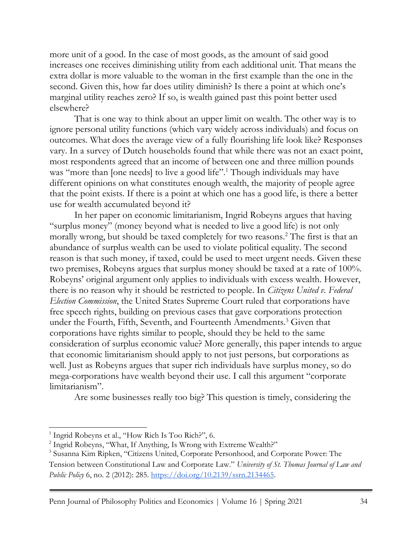more unit of a good. In the case of most goods, as the amount of said good increases one receives diminishing utility from each additional unit. That means the extra dollar is more valuable to the woman in the first example than the one in the second. Given this, how far does utility diminish? Is there a point at which one's marginal utility reaches zero? If so, is wealth gained past this point better used elsewhere?

That is one way to think about an upper limit on wealth. The other way is to ignore personal utility functions (which vary widely across individuals) and focus on outcomes. What does the average view of a fully flourishing life look like? Responses vary. In a survey of Dutch households found that while there was not an exact point, most respondents agreed that an income of between one and three million pounds was "more than [one needs] to live a good life".<sup>1</sup> Though individuals may have different opinions on what constitutes enough wealth, the majority of people agree that the point exists. If there is a point at which one has a good life, is there a better use for wealth accumulated beyond it?

In her paper on economic limitarianism, Ingrid Robeyns argues that having "surplus money" (money beyond what is needed to live a good life) is not only morally wrong, but should be taxed completely for two reasons.<sup>2</sup> The first is that an abundance of surplus wealth can be used to violate political equality. The second reason is that such money, if taxed, could be used to meet urgent needs. Given these two premises, Robeyns argues that surplus money should be taxed at a rate of 100%. Robeyns' original argument only applies to individuals with excess wealth. However, there is no reason why it should be restricted to people. In *Citizens United v. Federal Election Commission*, the United States Supreme Court ruled that corporations have free speech rights, building on previous cases that gave corporations protection under the Fourth, Fifth, Seventh, and Fourteenth Amendments.<sup>3</sup> Given that corporations have rights similar to people, should they be held to the same consideration of surplus economic value? More generally, this paper intends to argue that economic limitarianism should apply to not just persons, but corporations as well. Just as Robeyns argues that super rich individuals have surplus money, so do mega-corporations have wealth beyond their use. I call this argument "corporate limitarianism".

Are some businesses really too big? This question is timely, considering the

<sup>&</sup>lt;sup>1</sup> Ingrid Robeyns et al., "How Rich Is Too Rich?", 6.

<sup>&</sup>lt;sup>2</sup> Ingrid Robeyns, "What, If Anything, Is Wrong with Extreme Wealth?"

<sup>&</sup>lt;sup>3</sup> Susanna Kim Ripken, "Citizens United, Corporate Personhood, and Corporate Power: The

Tension between Constitutional Law and Corporate Law." *University of St. Thomas Journal of Law and Public Policy* 6, no. 2 (2012): 285. https://doi.org/10.2139/ssrn.2134465.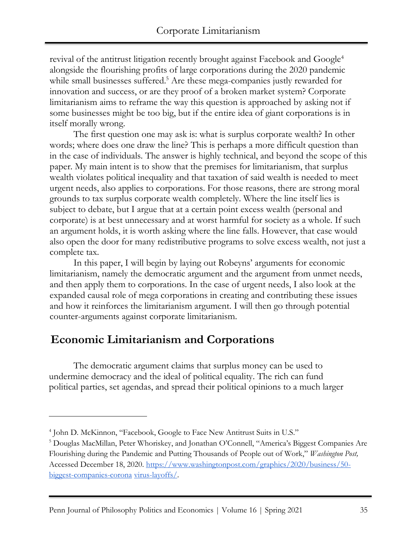revival of the antitrust litigation recently brought against Facebook and Google<sup>4</sup> alongside the flourishing profits of large corporations during the 2020 pandemic while small businesses suffered.<sup>5</sup> Are these mega-companies justly rewarded for innovation and success, or are they proof of a broken market system? Corporate limitarianism aims to reframe the way this question is approached by asking not if some businesses might be too big, but if the entire idea of giant corporations is in itself morally wrong.

The first question one may ask is: what is surplus corporate wealth? In other words; where does one draw the line? This is perhaps a more difficult question than in the case of individuals. The answer is highly technical, and beyond the scope of this paper. My main intent is to show that the premises for limitarianism, that surplus wealth violates political inequality and that taxation of said wealth is needed to meet urgent needs, also applies to corporations. For those reasons, there are strong moral grounds to tax surplus corporate wealth completely. Where the line itself lies is subject to debate, but I argue that at a certain point excess wealth (personal and corporate) is at best unnecessary and at worst harmful for society as a whole. If such an argument holds, it is worth asking where the line falls. However, that case would also open the door for many redistributive programs to solve excess wealth, not just a complete tax.

In this paper, I will begin by laying out Robeyns' arguments for economic limitarianism, namely the democratic argument and the argument from unmet needs, and then apply them to corporations. In the case of urgent needs, I also look at the expanded causal role of mega corporations in creating and contributing these issues and how it reinforces the limitarianism argument. I will then go through potential counter-arguments against corporate limitarianism.

## **Economic Limitarianism and Corporations**

The democratic argument claims that surplus money can be used to undermine democracy and the ideal of political equality. The rich can fund political parties, set agendas, and spread their political opinions to a much larger

<sup>4</sup> John D. McKinnon, "Facebook, Google to Face New Antitrust Suits in U.S."

<sup>5</sup> Douglas MacMillan, Peter Whoriskey, and Jonathan O'Connell, "America's Biggest Companies Are Flourishing during the Pandemic and Putting Thousands of People out of Work," *Washington Post,*  Accessed December 18, 2020. https://www.washingtonpost.com/graphics/2020/business/50 biggest-companies-corona virus-layoffs/.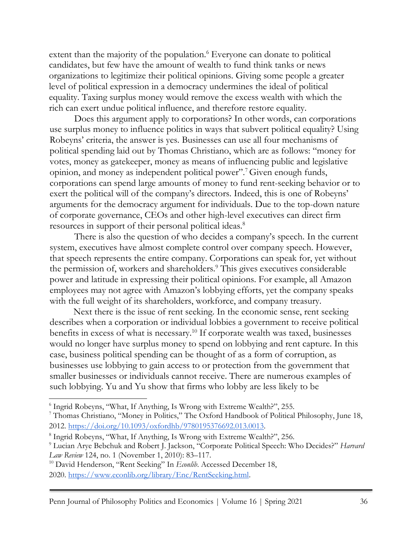extent than the majority of the population.<sup>6</sup> Everyone can donate to political candidates, but few have the amount of wealth to fund think tanks or news organizations to legitimize their political opinions. Giving some people a greater level of political expression in a democracy undermines the ideal of political equality. Taxing surplus money would remove the excess wealth with which the rich can exert undue political influence, and therefore restore equality.

Does this argument apply to corporations? In other words, can corporations use surplus money to influence politics in ways that subvert political equality? Using Robeyns' criteria, the answer is yes. Businesses can use all four mechanisms of political spending laid out by Thomas Christiano, which are as follows: "money for votes, money as gatekeeper, money as means of influencing public and legislative opinion, and money as independent political power".<sup>7</sup>Given enough funds, corporations can spend large amounts of money to fund rent-seeking behavior or to exert the political will of the company's directors. Indeed, this is one of Robeyns' arguments for the democracy argument for individuals. Due to the top-down nature of corporate governance, CEOs and other high-level executives can direct firm resources in support of their personal political ideas.<sup>8</sup>

There is also the question of who decides a company's speech. In the current system, executives have almost complete control over company speech. However, that speech represents the entire company. Corporations can speak for, yet without the permission of, workers and shareholders.<sup>9</sup> This gives executives considerable power and latitude in expressing their political opinions. For example, all Amazon employees may not agree with Amazon's lobbying efforts, yet the company speaks with the full weight of its shareholders, workforce, and company treasury.

Next there is the issue of rent seeking. In the economic sense, rent seeking describes when a corporation or individual lobbies a government to receive political benefits in excess of what is necessary.<sup>10</sup> If corporate wealth was taxed, businesses would no longer have surplus money to spend on lobbying and rent capture. In this case, business political spending can be thought of as a form of corruption, as businesses use lobbying to gain access to or protection from the government that smaller businesses or individuals cannot receive. There are numerous examples of such lobbying. Yu and Yu show that firms who lobby are less likely to be

<sup>6</sup> Ingrid Robeyns, "What, If Anything, Is Wrong with Extreme Wealth?", 255.

<sup>7</sup> Thomas Christiano, "Money in Politics," The Oxford Handbook of Political Philosophy, June 18, 2012. https://doi.org/10.1093/oxfordhb/9780195376692.013.0013.

<sup>&</sup>lt;sup>8</sup> Ingrid Robeyns, "What, If Anything, Is Wrong with Extreme Wealth?", 256.

<sup>9</sup> Lucian Arye Bebchuk and Robert J. Jackson, "Corporate Political Speech: Who Decides?" *Harvard Law Review* 124, no. 1 (November 1, 2010): 83–117.

<sup>&</sup>lt;sup>10</sup> David Henderson, "Rent Seeking" In *Econlib*. Accessed December 18, 2020. https://www.econlib.org/library/Enc/RentSeeking.html.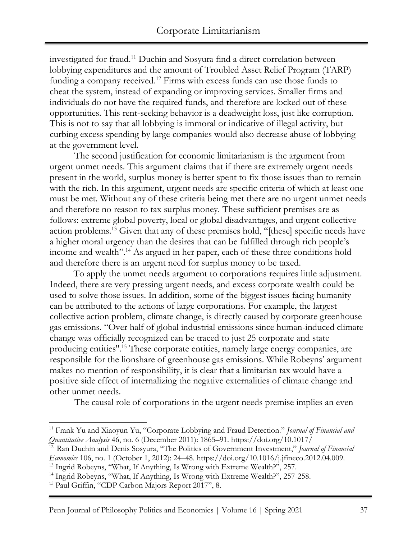investigated for fraud.<sup>11</sup> Duchin and Sosyura find a direct correlation between lobbying expenditures and the amount of Troubled Asset Relief Program (TARP) funding a company received.<sup>12</sup> Firms with excess funds can use those funds to cheat the system, instead of expanding or improving services. Smaller firms and individuals do not have the required funds, and therefore are locked out of these opportunities. This rent-seeking behavior is a deadweight loss, just like corruption. This is not to say that all lobbying is immoral or indicative of illegal activity, but curbing excess spending by large companies would also decrease abuse of lobbying at the government level.

The second justification for economic limitarianism is the argument from urgent unmet needs. This argument claims that if there are extremely urgent needs present in the world, surplus money is better spent to fix those issues than to remain with the rich. In this argument, urgent needs are specific criteria of which at least one must be met. Without any of these criteria being met there are no urgent unmet needs and therefore no reason to tax surplus money. These sufficient premises are as follows: extreme global poverty, local or global disadvantages, and urgent collective action problems.<sup>13</sup> Given that any of these premises hold, "[these] specific needs have a higher moral urgency than the desires that can be fulfilled through rich people's income and wealth".<sup>14</sup> As argued in her paper, each of these three conditions hold and therefore there is an urgent need for surplus money to be taxed.

To apply the unmet needs argument to corporations requires little adjustment. Indeed, there are very pressing urgent needs, and excess corporate wealth could be used to solve those issues. In addition, some of the biggest issues facing humanity can be attributed to the actions of large corporations. For example, the largest collective action problem, climate change, is directly caused by corporate greenhouse gas emissions. "Over half of global industrial emissions since human-induced climate change was officially recognized can be traced to just 25 corporate and state producing entities''.<sup>15</sup> These corporate entities, namely large energy companies, are responsible for the lionshare of greenhouse gas emissions. While Robeyns' argument makes no mention of responsibility, it is clear that a limitarian tax would have a positive side effect of internalizing the negative externalities of climate change and other unmet needs.

The causal role of corporations in the urgent needs premise implies an even

<sup>11</sup> Frank Yu and Xiaoyun Yu, "Corporate Lobbying and Fraud Detection." *Journal of Financial and Quantitative Analysis* 46, no. 6 (December 2011): 1865–91. https://doi.org/10.1017/

<sup>&</sup>lt;sup>12</sup> Ran Duchin and Denis Sosyura, "The Politics of Government Investment," Journal of Financial *Economics* 106, no. 1 (October 1, 2012): 24–48. https://doi.org/10.1016/j.jfineco.2012.04.009.

<sup>&</sup>lt;sup>13</sup> Ingrid Robeyns, "What, If Anything, Is Wrong with Extreme Wealth?", 257.

<sup>&</sup>lt;sup>14</sup> Ingrid Robeyns, "What, If Anything, Is Wrong with Extreme Wealth?", 257-258.

<sup>&</sup>lt;sup>15</sup> Paul Griffin, "CDP Carbon Majors Report 2017", 8.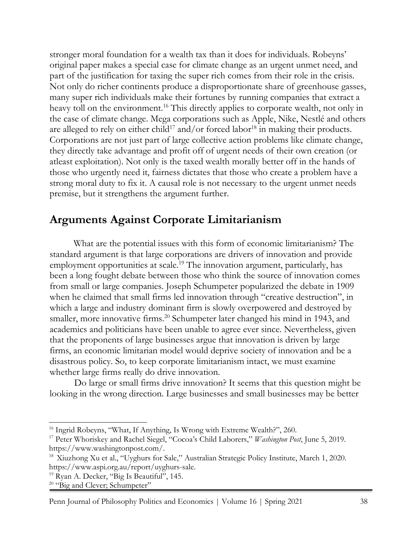stronger moral foundation for a wealth tax than it does for individuals. Robeyns' original paper makes a special case for climate change as an urgent unmet need, and part of the justification for taxing the super rich comes from their role in the crisis. Not only do richer continents produce a disproportionate share of greenhouse gasses, many super rich individuals make their fortunes by running companies that extract a heavy toll on the environment.<sup>16</sup> This directly applies to corporate wealth, not only in the case of climate change. Mega corporations such as Apple, Nike, Nestlé and others are alleged to rely on either child<sup>17</sup> and/or forced labor<sup>18</sup> in making their products. Corporations are not just part of large collective action problems like climate change, they directly take advantage and profit off of urgent needs of their own creation (or atleast exploitation). Not only is the taxed wealth morally better off in the hands of those who urgently need it, fairness dictates that those who create a problem have a strong moral duty to fix it. A causal role is not necessary to the urgent unmet needs premise, but it strengthens the argument further.

#### **Arguments Against Corporate Limitarianism**

What are the potential issues with this form of economic limitarianism? The standard argument is that large corporations are drivers of innovation and provide employment opportunities at scale.<sup>19</sup> The innovation argument, particularly, has been a long fought debate between those who think the source of innovation comes from small or large companies. Joseph Schumpeter popularized the debate in 1909 when he claimed that small firms led innovation through "creative destruction", in which a large and industry dominant firm is slowly overpowered and destroyed by smaller, more innovative firms.<sup>20</sup> Schumpeter later changed his mind in 1943, and academics and politicians have been unable to agree ever since. Nevertheless, given that the proponents of large businesses argue that innovation is driven by large firms, an economic limitarian model would deprive society of innovation and be a disastrous policy. So, to keep corporate limitarianism intact, we must examine whether large firms really do drive innovation.

Do large or small firms drive innovation? It seems that this question might be looking in the wrong direction. Large businesses and small businesses may be better

Penn Journal of Philosophy Politics and Economics | Volume 16 | Spring 2021 38

<sup>&</sup>lt;sup>16</sup> Ingrid Robeyns, "What, If Anything, Is Wrong with Extreme Wealth?", 260.

<sup>17</sup> Peter Whoriskey and Rachel Siegel, "Cocoa's Child Laborers," *Washington Post*, June 5, 2019. https://www.washingtonpost.com/.

<sup>&</sup>lt;sup>18</sup> Xiuzhong Xu et al., "Uyghurs for Sale," Australian Strategic Policy Institute, March 1, 2020. https://www.aspi.org.au/report/uyghurs-sale.

<sup>&</sup>lt;sup>19</sup> Ryan A. Decker, "Big Is Beautiful", 145.

 $20$  "Big and Clever; Schumpeter"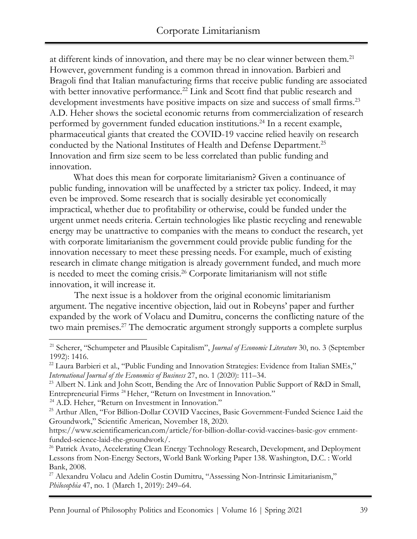at different kinds of innovation, and there may be no clear winner between them.<sup>21</sup> However, government funding is a common thread in innovation. Barbieri and Bragoli find that Italian manufacturing firms that receive public funding are associated with better innovative performance.<sup>22</sup> Link and Scott find that public research and development investments have positive impacts on size and success of small firms.<sup>23</sup> A.D. Heher shows the societal economic returns from commercialization of research performed by government funded education institutions.<sup>24</sup> In a recent example, pharmaceutical giants that created the COVID-19 vaccine relied heavily on research conducted by the National Institutes of Health and Defense Department.<sup>25</sup> Innovation and firm size seem to be less correlated than public funding and innovation.

What does this mean for corporate limitarianism? Given a continuance of public funding, innovation will be unaffected by a stricter tax policy. Indeed, it may even be improved. Some research that is socially desirable yet economically impractical, whether due to profitability or otherwise, could be funded under the urgent unmet needs criteria. Certain technologies like plastic recycling and renewable energy may be unattractive to companies with the means to conduct the research, yet with corporate limitarianism the government could provide public funding for the innovation necessary to meet these pressing needs. For example, much of existing research in climate change mitigation is already government funded, and much more is needed to meet the coming crisis.<sup>26</sup> Corporate limitarianism will not stifle innovation, it will increase it.

The next issue is a holdover from the original economic limitarianism argument. The negative incentive objection, laid out in Robeyns' paper and further expanded by the work of Volacu and Dumitru, concerns the conflicting nature of the two main premises.<sup>27</sup> The democratic argument strongly supports a complete surplus

<sup>24</sup> A.D. Heher, "Return on Investment in Innovation."

<sup>21</sup> Scherer, "Schumpeter and Plausible Capitalism", *Journal of Economic Literature* 30, no. 3 (September 1992): 1416.

<sup>&</sup>lt;sup>22</sup> Laura Barbieri et al., "Public Funding and Innovation Strategies: Evidence from Italian SMEs," *International Journal of the Economics of Business* 27, no. 1 (2020): 111–34.

<sup>&</sup>lt;sup>23</sup> Albert N. Link and John Scott, Bending the Arc of Innovation Public Support of R&D in Small, Entrepreneurial Firms <sup>24</sup>Heher, "Return on Investment in Innovation."

<sup>&</sup>lt;sup>25</sup> Arthur Allen, "For Billion-Dollar COVID Vaccines, Basic Government-Funded Science Laid the Groundwork," Scientific American, November 18, 2020.

https://www.scientificamerican.com/article/for-billion-dollar-covid-vaccines-basic-gov ernmentfunded-science-laid-the-groundwork/.

<sup>&</sup>lt;sup>26</sup> Patrick Avato, Accelerating Clean Energy Technology Research, Development, and Deployment Lessons from Non-Energy Sectors, World Bank Working Paper 138. Washington, D.C. : World Bank, 2008.

<sup>&</sup>lt;sup>27</sup> Alexandru Volacu and Adelin Costin Dumitru, "Assessing Non-Intrinsic Limitarianism," *Philosophia* 47, no. 1 (March 1, 2019): 249–64.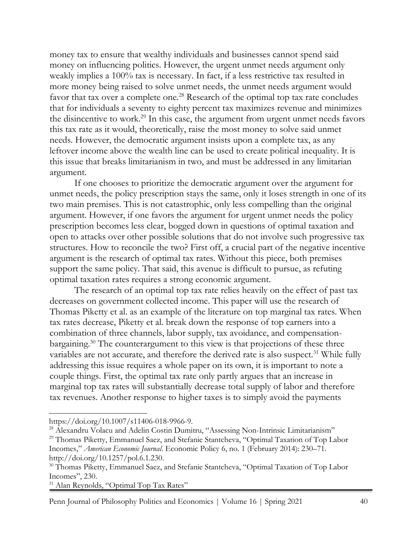money tax to ensure that wealthy individuals and businesses cannot spend said money on influencing politics. However, the urgent unmet needs argument only weakly implies a 100% tax is necessary. In fact, if a less restrictive tax resulted in more money being raised to solve unmet needs, the unmet needs argument would favor that tax over a complete one.<sup>28</sup> Research of the optimal top tax rate concludes that for individuals a seventy to eighty percent tax maximizes revenue and minimizes the disincentive to work.<sup>29</sup> In this case, the argument from urgent unmet needs favors this tax rate as it would, theoretically, raise the most money to solve said unmet needs. However, the democratic argument insists upon a complete tax, as any leftover income above the wealth line can be used to create political inequality. It is this issue that breaks limitarianism in two, and must be addressed in any limitarian argument.

If one chooses to prioritize the democratic argument over the argument for unmet needs, the policy prescription stays the same, only it loses strength in one of its two main premises. This is not catastrophic, only less compelling than the original argument. However, if one favors the argument for urgent unmet needs the policy prescription becomes less clear, bogged down in questions of optimal taxation and open to attacks over other possible solutions that do not involve such progressive tax structures. How to reconcile the two? First off, a crucial part of the negative incentive argument is the research of optimal tax rates. Without this piece, both premises support the same policy. That said, this avenue is difficult to pursue, as refuting optimal taxation rates requires a strong economic argument.

The research of an optimal top tax rate relies heavily on the effect of past tax decreases on government collected income. This paper will use the research of Thomas Piketty et al. as an example of the literature on top marginal tax rates. When tax rates decrease, Piketty et al. break down the response of top earners into a combination of three channels, labor supply, tax avoidance, and compensationbargaining.<sup>30</sup> The counterargument to this view is that projections of these three variables are not accurate, and therefore the derived rate is also suspect.<sup>31</sup> While fully addressing this issue requires a whole paper on its own, it is important to note a couple things. First, the optimal tax rate only partly argues that an increase in marginal top tax rates will substantially decrease total supply of labor and therefore tax revenues. Another response to higher taxes is to simply avoid the payments

<sup>31</sup> Alan Reynolds, "Optimal Top Tax Rates"

Penn Journal of Philosophy Politics and Economics | Volume 16 | Spring 2021 40

https://doi.org/10.1007/s11406-018-9966-9.

<sup>&</sup>lt;sup>28</sup> Alexandru Volacu and Adelin Costin Dumitru, "Assessing Non-Intrinsic Limitarianism"

<sup>&</sup>lt;sup>29</sup> Thomas Piketty, Emmanuel Saez, and Stefanie Stantcheva, "Optimal Taxation of Top Labor Incomes," *American Economic Journal*. Economic Policy 6, no. 1 (February 2014): 230–71. http://doi.org/10.1257/pol.6.1.230.

<sup>&</sup>lt;sup>30</sup> Thomas Piketty, Emmanuel Saez, and Stefanie Stantcheva, "Optimal Taxation of Top Labor Incomes", 230.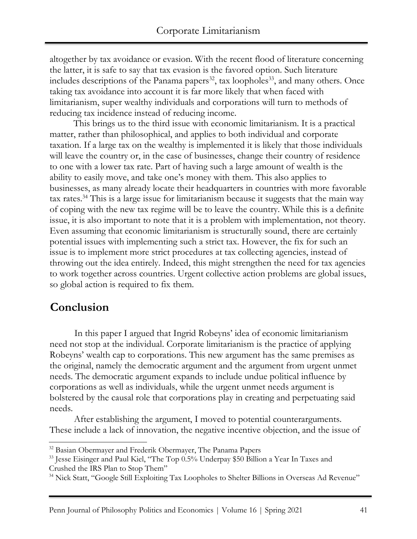altogether by tax avoidance or evasion. With the recent flood of literature concerning the latter, it is safe to say that tax evasion is the favored option. Such literature includes descriptions of the Panama papers $^{32}$ , tax loopholes $^{33}$ , and many others. Once taking tax avoidance into account it is far more likely that when faced with limitarianism, super wealthy individuals and corporations will turn to methods of reducing tax incidence instead of reducing income.

This brings us to the third issue with economic limitarianism. It is a practical matter, rather than philosophical, and applies to both individual and corporate taxation. If a large tax on the wealthy is implemented it is likely that those individuals will leave the country or, in the case of businesses, change their country of residence to one with a lower tax rate. Part of having such a large amount of wealth is the ability to easily move, and take one's money with them. This also applies to businesses, as many already locate their headquarters in countries with more favorable tax rates.<sup>34</sup> This is a large issue for limitarianism because it suggests that the main way of coping with the new tax regime will be to leave the country. While this is a definite issue, it is also important to note that it is a problem with implementation, not theory. Even assuming that economic limitarianism is structurally sound, there are certainly potential issues with implementing such a strict tax. However, the fix for such an issue is to implement more strict procedures at tax collecting agencies, instead of throwing out the idea entirely. Indeed, this might strengthen the need for tax agencies to work together across countries. Urgent collective action problems are global issues, so global action is required to fix them.

### **Conclusion**

In this paper I argued that Ingrid Robeyns' idea of economic limitarianism need not stop at the individual. Corporate limitarianism is the practice of applying Robeyns' wealth cap to corporations. This new argument has the same premises as the original, namely the democratic argument and the argument from urgent unmet needs. The democratic argument expands to include undue political influence by corporations as well as individuals, while the urgent unmet needs argument is bolstered by the causal role that corporations play in creating and perpetuating said needs.

After establishing the argument, I moved to potential counterarguments. These include a lack of innovation, the negative incentive objection, and the issue of

<sup>&</sup>lt;sup>32</sup> Basian Obermayer and Frederik Obermayer, The Panama Papers

<sup>&</sup>lt;sup>33</sup> Jesse Eisinger and Paul Kiel, "The Top 0.5% Underpay \$50 Billion a Year In Taxes and Crushed the IRS Plan to Stop Them"

<sup>&</sup>lt;sup>34</sup> Nick Statt, "Google Still Exploiting Tax Loopholes to Shelter Billions in Overseas Ad Revenue"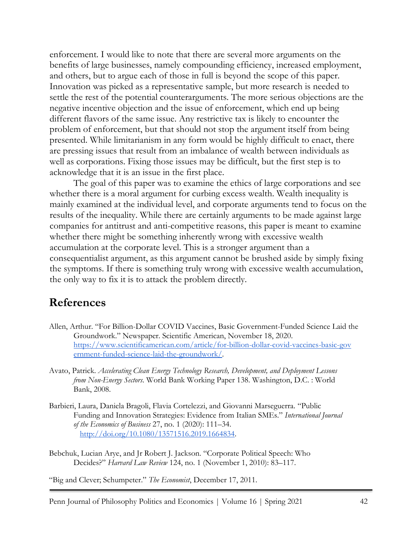enforcement. I would like to note that there are several more arguments on the benefits of large businesses, namely compounding efficiency, increased employment, and others, but to argue each of those in full is beyond the scope of this paper. Innovation was picked as a representative sample, but more research is needed to settle the rest of the potential counterarguments. The more serious objections are the negative incentive objection and the issue of enforcement, which end up being different flavors of the same issue. Any restrictive tax is likely to encounter the problem of enforcement, but that should not stop the argument itself from being presented. While limitarianism in any form would be highly difficult to enact, there are pressing issues that result from an imbalance of wealth between individuals as well as corporations. Fixing those issues may be difficult, but the first step is to acknowledge that it is an issue in the first place.

The goal of this paper was to examine the ethics of large corporations and see whether there is a moral argument for curbing excess wealth. Wealth inequality is mainly examined at the individual level, and corporate arguments tend to focus on the results of the inequality. While there are certainly arguments to be made against large companies for antitrust and anti-competitive reasons, this paper is meant to examine whether there might be something inherently wrong with excessive wealth accumulation at the corporate level. This is a stronger argument than a consequentialist argument, as this argument cannot be brushed aside by simply fixing the symptoms. If there is something truly wrong with excessive wealth accumulation, the only way to fix it is to attack the problem directly.

#### **References**

- Allen, Arthur. "For Billion-Dollar COVID Vaccines, Basic Government-Funded Science Laid the Groundwork." Newspaper. Scientific American, November 18, 2020. https://www.scientificamerican.com/article/for-billion-dollar-covid-vaccines-basic-gov ernment-funded-science-laid-the-groundwork/.
- Avato, Patrick. *Accelerating Clean Energy Technology Research, Development, and Deployment Lessons from Non-Energy Sectors*. World Bank Working Paper 138. Washington, D.C. : World Bank, 2008.
- Barbieri, Laura, Daniela Bragoli, Flavia Cortelezzi, and Giovanni Marseguerra. "Public Funding and Innovation Strategies: Evidence from Italian SMEs." *International Journal of the Economics of Business* 27, no. 1 (2020): 111–34. http://doi.org/10.1080/13571516.2019.1664834.
- Bebchuk, Lucian Arye, and Jr Robert J. Jackson. "Corporate Political Speech: Who Decides?" *Harvard Law Review* 124, no. 1 (November 1, 2010): 83–117.

"Big and Clever; Schumpeter." *The Economist*, December 17, 2011.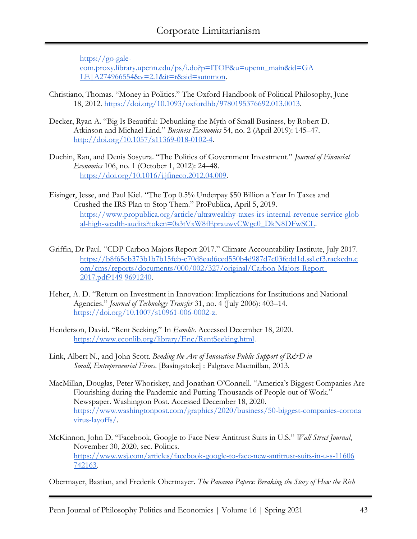https://go-galecom.proxy.library.upenn.edu/ps/i.do?p=ITOF&u=upenn\_main&id=GA LE|A274966554&v=2.1&it=r&sid=summon.

- Christiano, Thomas. "Money in Politics." The Oxford Handbook of Political Philosophy, June 18, 2012. https://doi.org/10.1093/oxfordhb/9780195376692.013.0013.
- Decker, Ryan A. "Big Is Beautiful: Debunking the Myth of Small Business, by Robert D. Atkinson and Michael Lind." *Business Economics* 54, no. 2 (April 2019): 145–47. http://doi.org/10.1057/s11369-018-0102-4.
- Duchin, Ran, and Denis Sosyura. "The Politics of Government Investment." *Journal of Financial Economics* 106, no. 1 (October 1, 2012): 24–48. https://doi.org/10.1016/j.jfineco.2012.04.009.
- Eisinger, Jesse, and Paul Kiel. "The Top 0.5% Underpay \$50 Billion a Year In Taxes and Crushed the IRS Plan to Stop Them." ProPublica, April 5, 2019. https://www.propublica.org/article/ultrawealthy-taxes-irs-internal-revenue-service-glob al-high-wealth-audits?token=0s3tVxW8fEprauwvCWgc0\_DkN8DFwSCL.
- Griffin, Dr Paul. "CDP Carbon Majors Report 2017." Climate Accountability Institute, July 2017. https://b8f65cb373b1b7b15feb-c70d8ead6ced550b4d987d7c03fcdd1d.ssl.cf3.rackcdn.c om/cms/reports/documents/000/002/327/original/Carbon-Majors-Report-2017.pdf?149 9691240.
- Heher, A. D. "Return on Investment in Innovation: Implications for Institutions and National Agencies." *Journal of Technology Transfer* 31, no. 4 (July 2006): 403–14. https://doi.org/10.1007/s10961-006-0002-z.
- Henderson, David. "Rent Seeking." In *Econlib*. Accessed December 18, 2020. https://www.econlib.org/library/Enc/RentSeeking.html.
- Link, Albert N., and John Scott. *Bending the Arc of Innovation Public Support of R&D in Small, Entrepreneurial Firms*. [Basingstoke] : Palgrave Macmillan, 2013.
- MacMillan, Douglas, Peter Whoriskey, and Jonathan O'Connell. "America's Biggest Companies Are Flourishing during the Pandemic and Putting Thousands of People out of Work." Newspaper. Washington Post. Accessed December 18, 2020. https://www.washingtonpost.com/graphics/2020/business/50-biggest-companies-corona virus-layoffs/.
- McKinnon, John D. "Facebook, Google to Face New Antitrust Suits in U.S." *Wall Street Journal*, November 30, 2020, sec. Politics. https://www.wsj.com/articles/facebook-google-to-face-new-antitrust-suits-in-u-s-11606 742163.

Obermayer, Bastian, and Frederik Obermayer. *The Panama Papers: Breaking the Story of How the Rich*